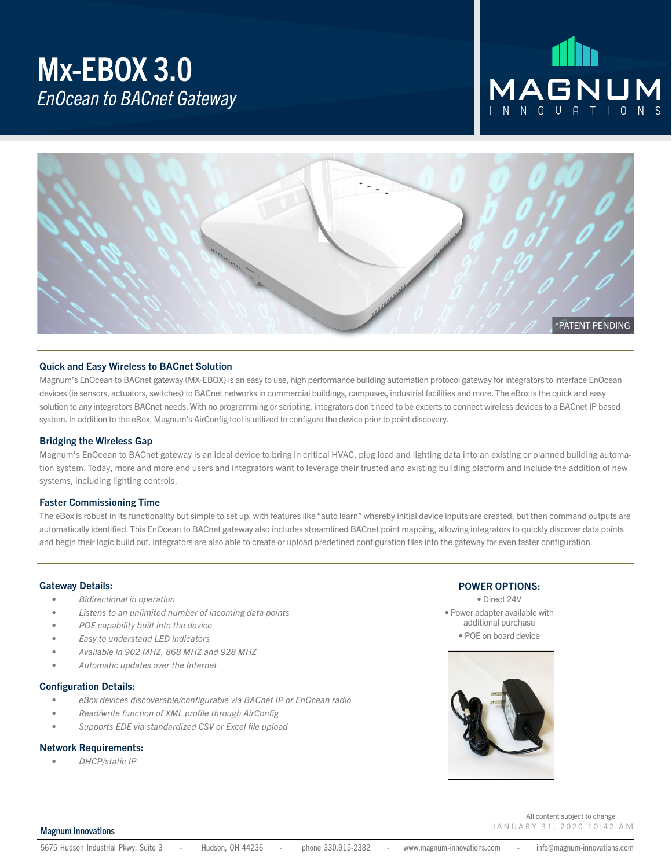### Mx-EBOX 3.0 *EnOcean to BACnet Gateway*

# MAGNUM



#### Quick and Easy Wireless to BACnet Solution

Magnum's EnOcean to BACnet gateway (MX-EBOX) is an easy to use, high performance building automation protocol gateway for integrators to interface EnOcean devices (ie sensors, actuators, switches) to BACnet networks in commercial buildings, campuses, industrial facilities and more. The eBox is the quick and easy solution to any integrators BACnet needs. With no programming or scripting, integrators don't need to be experts to connect wireless devices to a BACnet IP based system. In addition to the eBox, Magnum's AirConfig tool is utilized to configure the device prior to point discovery.

#### Bridging the Wireless Gap

Magnum's EnOcean to BACnet gateway is an ideal device to bring in critical HVAC, plug load and lighting data into an existing or planned building automation system. Today, more and more end users and integrators want to leverage their trusted and existing building platform and include the addition of new systems, including lighting controls.

#### Faster Commissioning Time

The eBox is robust in its functionality but simple to set up, with features like "auto learn" whereby initial device inputs are created, but then command outputs are automatically identified. This EnOcean to BACnet gateway also includes streamlined BACnet point mapping, allowing integrators to quickly discover data points and begin their logic build out. Integrators are also able to create or upload predefined configuration files into the gateway for even faster configuration.

#### Gateway Details:

- *• Bidirectional in operation*
- *• Listens to an unlimited number of incoming data points*
- *• POE capability built into the device*
- *• Easy to understand LED indicators*
- *• Available in 902 MHZ, 868 MHZ and 928 MHZ*
- *• Automatic updates over the Internet*

#### Configuration Details:

- *• eBox devices discoverable/configurable via BACnet IP or EnOcean radio*
- *• Read/write function of XML profile through AirConfig*
- *• Supports EDE via standardized CSV or Excel file upload*

#### Network Requirements:

*• DHCP/static IP*

#### POWER OPTIONS:

• Direct 24V • Power adapter available with additional purchase • POE on board device



#### Magnum Innovations

5675 Hudson Industrial Pkwy, Suite 3 - Hudson, OH 44236 - phone 330.915-2382 - www.magnum-innovations.com - info@magnum-innovations.com

January 31, 2020 10:42 A M

All content subject to change